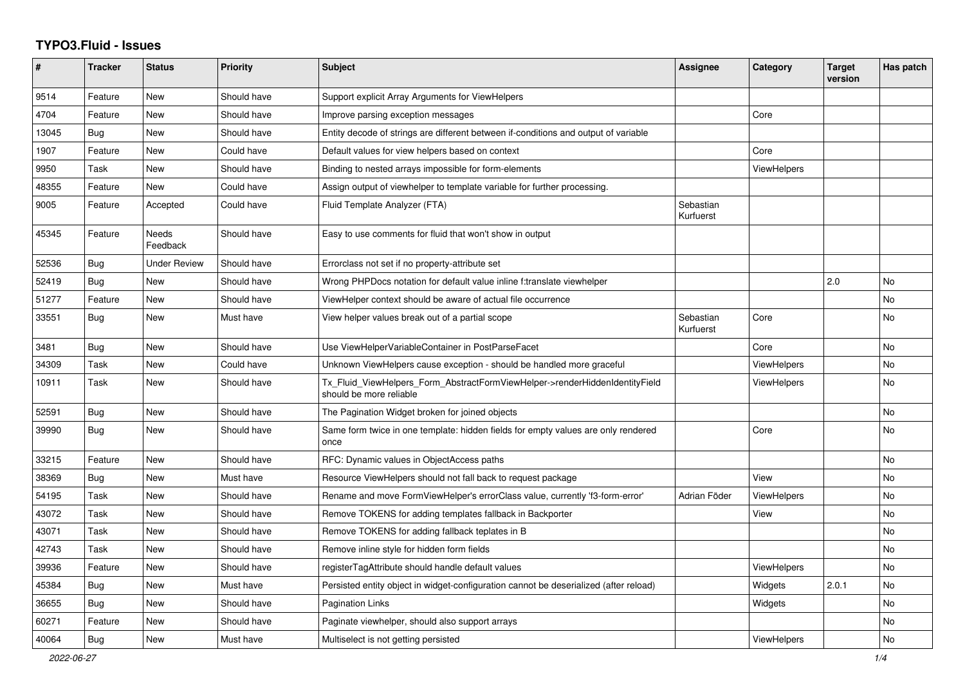## **TYPO3.Fluid - Issues**

| #     | <b>Tracker</b> | <b>Status</b>            | <b>Priority</b> | <b>Subject</b>                                                                                         | Assignee               | Category           | <b>Target</b><br>version | Has patch |
|-------|----------------|--------------------------|-----------------|--------------------------------------------------------------------------------------------------------|------------------------|--------------------|--------------------------|-----------|
| 9514  | Feature        | <b>New</b>               | Should have     | Support explicit Array Arguments for ViewHelpers                                                       |                        |                    |                          |           |
| 4704  | Feature        | New                      | Should have     | Improve parsing exception messages                                                                     |                        | Core               |                          |           |
| 13045 | Bug            | New                      | Should have     | Entity decode of strings are different between if-conditions and output of variable                    |                        |                    |                          |           |
| 1907  | Feature        | New                      | Could have      | Default values for view helpers based on context                                                       |                        | Core               |                          |           |
| 9950  | Task           | New                      | Should have     | Binding to nested arrays impossible for form-elements                                                  |                        | <b>ViewHelpers</b> |                          |           |
| 48355 | Feature        | <b>New</b>               | Could have      | Assign output of viewhelper to template variable for further processing.                               |                        |                    |                          |           |
| 9005  | Feature        | Accepted                 | Could have      | Fluid Template Analyzer (FTA)                                                                          | Sebastian<br>Kurfuerst |                    |                          |           |
| 45345 | Feature        | <b>Needs</b><br>Feedback | Should have     | Easy to use comments for fluid that won't show in output                                               |                        |                    |                          |           |
| 52536 | Bug            | <b>Under Review</b>      | Should have     | Errorclass not set if no property-attribute set                                                        |                        |                    |                          |           |
| 52419 | Bug            | New                      | Should have     | Wrong PHPDocs notation for default value inline f:translate viewhelper                                 |                        |                    | 2.0                      | <b>No</b> |
| 51277 | Feature        | New                      | Should have     | ViewHelper context should be aware of actual file occurrence                                           |                        |                    |                          | <b>No</b> |
| 33551 | Bug            | New                      | Must have       | View helper values break out of a partial scope                                                        | Sebastian<br>Kurfuerst | Core               |                          | <b>No</b> |
| 3481  | Bug            | New                      | Should have     | Use ViewHelperVariableContainer in PostParseFacet                                                      |                        | Core               |                          | No        |
| 34309 | Task           | <b>New</b>               | Could have      | Unknown ViewHelpers cause exception - should be handled more graceful                                  |                        | <b>ViewHelpers</b> |                          | <b>No</b> |
| 10911 | Task           | New                      | Should have     | Tx_Fluid_ViewHelpers_Form_AbstractFormViewHelper->renderHiddenIdentityField<br>should be more reliable |                        | ViewHelpers        |                          | <b>No</b> |
| 52591 | Bug            | New                      | Should have     | The Pagination Widget broken for joined objects                                                        |                        |                    |                          | No        |
| 39990 | <b>Bug</b>     | <b>New</b>               | Should have     | Same form twice in one template: hidden fields for empty values are only rendered<br>once              |                        | Core               |                          | <b>No</b> |
| 33215 | Feature        | New                      | Should have     | RFC: Dynamic values in ObjectAccess paths                                                              |                        |                    |                          | No        |
| 38369 | Bug            | <b>New</b>               | Must have       | Resource ViewHelpers should not fall back to request package                                           |                        | View               |                          | <b>No</b> |
| 54195 | Task           | <b>New</b>               | Should have     | Rename and move FormViewHelper's errorClass value, currently 'f3-form-error'                           | Adrian Föder           | ViewHelpers        |                          | <b>No</b> |
| 43072 | Task           | <b>New</b>               | Should have     | Remove TOKENS for adding templates fallback in Backporter                                              |                        | View               |                          | <b>No</b> |
| 43071 | Task           | New                      | Should have     | Remove TOKENS for adding fallback teplates in B                                                        |                        |                    |                          | <b>No</b> |
| 42743 | Task           | New                      | Should have     | Remove inline style for hidden form fields                                                             |                        |                    |                          | No        |
| 39936 | Feature        | New                      | Should have     | registerTagAttribute should handle default values                                                      |                        | <b>ViewHelpers</b> |                          | No        |
| 45384 | Bug            | <b>New</b>               | Must have       | Persisted entity object in widget-configuration cannot be deserialized (after reload)                  |                        | Widgets            | 2.0.1                    | No        |
| 36655 | Bug            | <b>New</b>               | Should have     | <b>Pagination Links</b>                                                                                |                        | Widgets            |                          | <b>No</b> |
| 60271 | Feature        | New                      | Should have     | Paginate viewhelper, should also support arrays                                                        |                        |                    |                          | No        |
| 40064 | Bug            | New                      | Must have       | Multiselect is not getting persisted                                                                   |                        | <b>ViewHelpers</b> |                          | No        |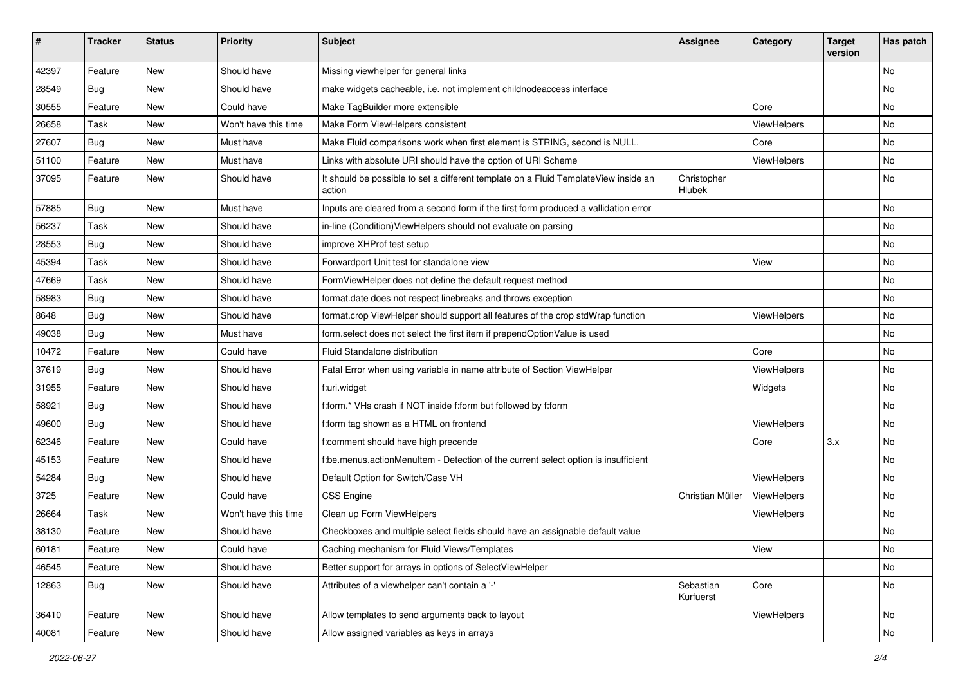| ∦     | <b>Tracker</b> | <b>Status</b> | <b>Priority</b>      | <b>Subject</b>                                                                                | <b>Assignee</b>        | Category    | <b>Target</b><br>version | Has patch |
|-------|----------------|---------------|----------------------|-----------------------------------------------------------------------------------------------|------------------------|-------------|--------------------------|-----------|
| 42397 | Feature        | New           | Should have          | Missing viewhelper for general links                                                          |                        |             |                          | No        |
| 28549 | <b>Bug</b>     | New           | Should have          | make widgets cacheable, i.e. not implement childnodeaccess interface                          |                        |             |                          | No        |
| 30555 | Feature        | New           | Could have           | Make TagBuilder more extensible                                                               |                        | Core        |                          | No        |
| 26658 | Task           | New           | Won't have this time | Make Form ViewHelpers consistent                                                              |                        | ViewHelpers |                          | No        |
| 27607 | Bug            | New           | Must have            | Make Fluid comparisons work when first element is STRING, second is NULL.                     |                        | Core        |                          | No        |
| 51100 | Feature        | New           | Must have            | Links with absolute URI should have the option of URI Scheme                                  |                        | ViewHelpers |                          | No        |
| 37095 | Feature        | New           | Should have          | It should be possible to set a different template on a Fluid TemplateView inside an<br>action | Christopher<br>Hlubek  |             |                          | No        |
| 57885 | Bug            | New           | Must have            | Inputs are cleared from a second form if the first form produced a vallidation error          |                        |             |                          | No        |
| 56237 | Task           | New           | Should have          | in-line (Condition) View Helpers should not evaluate on parsing                               |                        |             |                          | No        |
| 28553 | Bug            | New           | Should have          | improve XHProf test setup                                                                     |                        |             |                          | No.       |
| 45394 | Task           | New           | Should have          | Forwardport Unit test for standalone view                                                     |                        | View        |                          | No        |
| 47669 | Task           | New           | Should have          | FormViewHelper does not define the default request method                                     |                        |             |                          | No        |
| 58983 | Bug            | New           | Should have          | format.date does not respect linebreaks and throws exception                                  |                        |             |                          | No        |
| 8648  | Bug            | New           | Should have          | format.crop ViewHelper should support all features of the crop stdWrap function               |                        | ViewHelpers |                          | No        |
| 49038 | Bug            | New           | Must have            | form.select does not select the first item if prependOptionValue is used                      |                        |             |                          | No        |
| 10472 | Feature        | New           | Could have           | Fluid Standalone distribution                                                                 |                        | Core        |                          | No        |
| 37619 | Bug            | New           | Should have          | Fatal Error when using variable in name attribute of Section ViewHelper                       |                        | ViewHelpers |                          | No        |
| 31955 | Feature        | <b>New</b>    | Should have          | f:uri.widget                                                                                  |                        | Widgets     |                          | No        |
| 58921 | Bug            | New           | Should have          | f:form.* VHs crash if NOT inside f:form but followed by f:form                                |                        |             |                          | No        |
| 49600 | Bug            | New           | Should have          | f:form tag shown as a HTML on frontend                                                        |                        | ViewHelpers |                          | No        |
| 62346 | Feature        | New           | Could have           | f:comment should have high precende                                                           |                        | Core        | 3.x                      | No.       |
| 45153 | Feature        | New           | Should have          | f:be.menus.actionMenuItem - Detection of the current select option is insufficient            |                        |             |                          | No        |
| 54284 | Bug            | <b>New</b>    | Should have          | Default Option for Switch/Case VH                                                             |                        | ViewHelpers |                          | No        |
| 3725  | Feature        | New           | Could have           | <b>CSS Engine</b>                                                                             | Christian Müller       | ViewHelpers |                          | No        |
| 26664 | Task           | New           | Won't have this time | Clean up Form ViewHelpers                                                                     |                        | ViewHelpers |                          | No.       |
| 38130 | Feature        | New           | Should have          | Checkboxes and multiple select fields should have an assignable default value                 |                        |             |                          | No        |
| 60181 | Feature        | New           | Could have           | Caching mechanism for Fluid Views/Templates                                                   |                        | View        |                          | No        |
| 46545 | Feature        | New           | Should have          | Better support for arrays in options of SelectViewHelper                                      |                        |             |                          | No        |
| 12863 | Bug            | New           | Should have          | Attributes of a viewhelper can't contain a '-'                                                | Sebastian<br>Kurfuerst | Core        |                          | No        |
| 36410 | Feature        | New           | Should have          | Allow templates to send arguments back to layout                                              |                        | ViewHelpers |                          | No        |
| 40081 | Feature        | New           | Should have          | Allow assigned variables as keys in arrays                                                    |                        |             |                          | No        |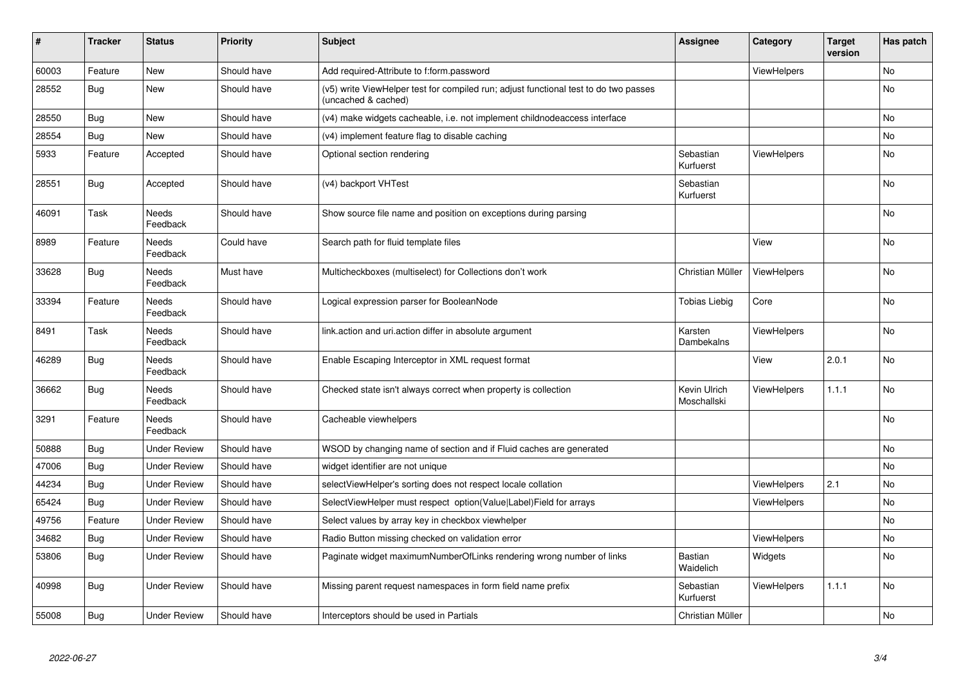| #     | <b>Tracker</b> | <b>Status</b>       | <b>Priority</b> | <b>Subject</b>                                                                                              | <b>Assignee</b>             | Category           | <b>Target</b><br>version | Has patch |
|-------|----------------|---------------------|-----------------|-------------------------------------------------------------------------------------------------------------|-----------------------------|--------------------|--------------------------|-----------|
| 60003 | Feature        | New                 | Should have     | Add required-Attribute to f:form.password                                                                   |                             | ViewHelpers        |                          | <b>No</b> |
| 28552 | Bug            | New                 | Should have     | (v5) write ViewHelper test for compiled run; adjust functional test to do two passes<br>(uncached & cached) |                             |                    |                          | No.       |
| 28550 | Bug            | New                 | Should have     | (v4) make widgets cacheable, i.e. not implement childnodeaccess interface                                   |                             |                    |                          | <b>No</b> |
| 28554 | Bug            | New                 | Should have     | (v4) implement feature flag to disable caching                                                              |                             |                    |                          | No        |
| 5933  | Feature        | Accepted            | Should have     | Optional section rendering                                                                                  | Sebastian<br>Kurfuerst      | <b>ViewHelpers</b> |                          | No        |
| 28551 | Bug            | Accepted            | Should have     | (v4) backport VHTest                                                                                        | Sebastian<br>Kurfuerst      |                    |                          | No.       |
| 46091 | Task           | Needs<br>Feedback   | Should have     | Show source file name and position on exceptions during parsing                                             |                             |                    |                          | <b>No</b> |
| 8989  | Feature        | Needs<br>Feedback   | Could have      | Search path for fluid template files                                                                        |                             | View               |                          | <b>No</b> |
| 33628 | <b>Bug</b>     | Needs<br>Feedback   | Must have       | Multicheckboxes (multiselect) for Collections don't work                                                    | Christian Müller            | <b>ViewHelpers</b> |                          | <b>No</b> |
| 33394 | Feature        | Needs<br>Feedback   | Should have     | Logical expression parser for BooleanNode                                                                   | Tobias Liebig               | Core               |                          | <b>No</b> |
| 8491  | Task           | Needs<br>Feedback   | Should have     | link.action and uri.action differ in absolute argument                                                      | Karsten<br>Dambekalns       | ViewHelpers        |                          | No        |
| 46289 | Bug            | Needs<br>Feedback   | Should have     | Enable Escaping Interceptor in XML request format                                                           |                             | View               | 2.0.1                    | No        |
| 36662 | Bug            | Needs<br>Feedback   | Should have     | Checked state isn't always correct when property is collection                                              | Kevin Ulrich<br>Moschallski | <b>ViewHelpers</b> | 1.1.1                    | <b>No</b> |
| 3291  | Feature        | Needs<br>Feedback   | Should have     | Cacheable viewhelpers                                                                                       |                             |                    |                          | <b>No</b> |
| 50888 | Bug            | Under Review        | Should have     | WSOD by changing name of section and if Fluid caches are generated                                          |                             |                    |                          | <b>No</b> |
| 47006 | Bug            | <b>Under Review</b> | Should have     | widget identifier are not unique                                                                            |                             |                    |                          | No        |
| 44234 | Bug            | Under Review        | Should have     | selectViewHelper's sorting does not respect locale collation                                                |                             | <b>ViewHelpers</b> | 2.1                      | <b>No</b> |
| 65424 | <b>Bug</b>     | <b>Under Review</b> | Should have     | SelectViewHelper must respect option(Value Label)Field for arrays                                           |                             | ViewHelpers        |                          | No        |
| 49756 | Feature        | <b>Under Review</b> | Should have     | Select values by array key in checkbox viewhelper                                                           |                             |                    |                          | <b>No</b> |
| 34682 | Bug            | <b>Under Review</b> | Should have     | Radio Button missing checked on validation error                                                            |                             | ViewHelpers        |                          | No        |
| 53806 | Bug            | <b>Under Review</b> | Should have     | Paginate widget maximumNumberOfLinks rendering wrong number of links                                        | <b>Bastian</b><br>Waidelich | Widgets            |                          | No        |
| 40998 | Bug            | <b>Under Review</b> | Should have     | Missing parent request namespaces in form field name prefix                                                 | Sebastian<br>Kurfuerst      | ViewHelpers        | 1.1.1                    | No        |
| 55008 | Bug            | <b>Under Review</b> | Should have     | Interceptors should be used in Partials                                                                     | Christian Müller            |                    |                          | No        |